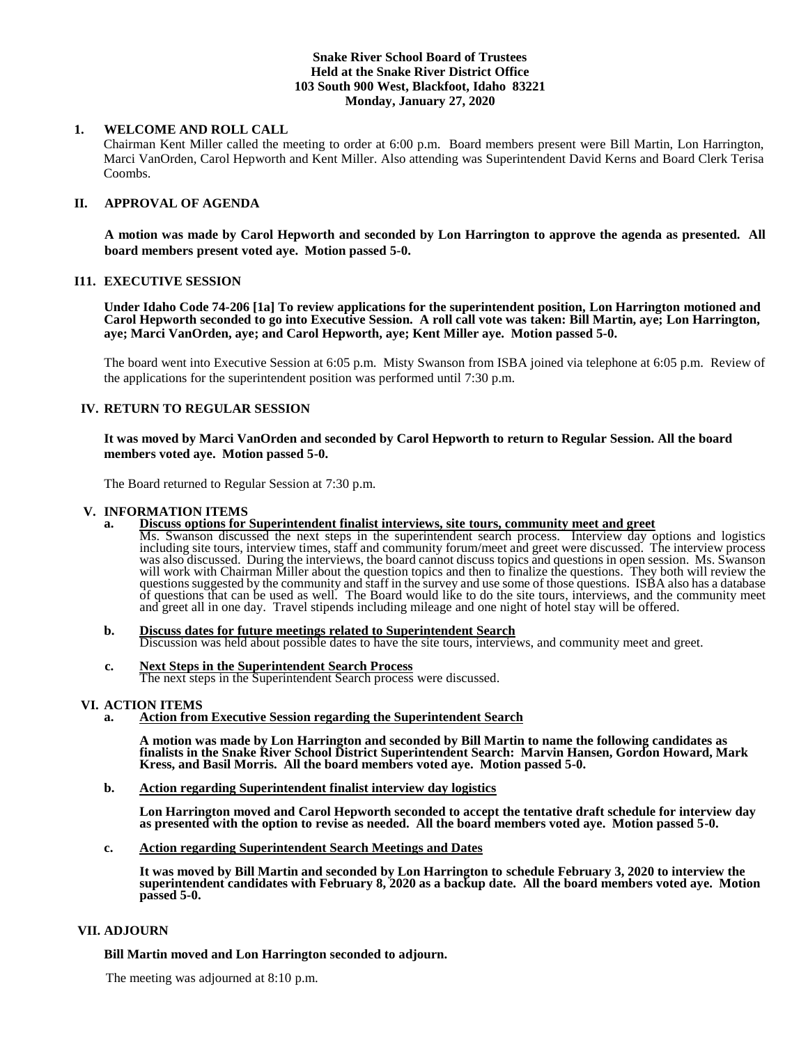## **Snake River School Board of Trustees Held at the Snake River District Office 103 South 900 West, Blackfoot, Idaho 83221 Monday, January 27, 2020**

## **1. WELCOME AND ROLL CALL**

Chairman Kent Miller called the meeting to order at 6:00 p.m. Board members present were Bill Martin, Lon Harrington, Marci VanOrden, Carol Hepworth and Kent Miller. Also attending was Superintendent David Kerns and Board Clerk Terisa Coombs.

# **II. APPROVAL OF AGENDA**

**A motion was made by Carol Hepworth and seconded by Lon Harrington to approve the agenda as presented. All board members present voted aye. Motion passed 5-0.**

### **I11. EXECUTIVE SESSION**

**Under Idaho Code 74-206 [1a] To review applications for the superintendent position, Lon Harrington motioned and Carol Hepworth seconded to go into Executive Session. A roll call vote was taken: Bill Martin, aye; Lon Harrington, aye; Marci VanOrden, aye; and Carol Hepworth, aye; Kent Miller aye. Motion passed 5-0.** 

The board went into Executive Session at 6:05 p.m. Misty Swanson from ISBA joined via telephone at 6:05 p.m. Review of the applications for the superintendent position was performed until 7:30 p.m.

## **IV. RETURN TO REGULAR SESSION**

## **It was moved by Marci VanOrden and seconded by Carol Hepworth to return to Regular Session. All the board members voted aye. Motion passed 5-0.**

The Board returned to Regular Session at 7:30 p.m.

#### **V. INFORMATION ITEMS**

**a. Discuss options for Superintendent finalist interviews, site tours, community meet and greet** Ms. Swanson discussed the next steps in the superintendent search process. Interview day options and logistics

including site tours, interview times, staff and community forum/meet and greet were discussed. The interview process was also discussed. During the interviews, the board cannot discuss topics and questions in open session. Ms. Swanson will work with Chairman Miller about the question topics and then to finalize the questions. They both will review the questions suggested by the community and staff in the survey and use some of those questions. ISBA also has a database of questions that can be used as well. The Board would like to do the site tours, interviews, and the community meet and greet all in one day. Travel stipends including mileage and one night of hotel stay will be offered.

- **b. Discuss dates for future meetings related to Superintendent Search** Discussion was held about possible dates to have the site tours, interviews, and community meet and greet.
- **c. Next Steps in the Superintendent Search Process** The next steps in the Superintendent Search process were discussed.

#### **VI. ACTION ITEMS**

**a. Action from Executive Session regarding the Superintendent Search**

**A motion was made by Lon Harrington and seconded by Bill Martin to name the following candidates as finalists in the Snake River School District Superintendent Search: Marvin Hansen, Gordon Howard, Mark Kress, and Basil Morris. All the board members voted aye. Motion passed 5-0.** 

**b. Action regarding Superintendent finalist interview day logistics**

**Lon Harrington moved and Carol Hepworth seconded to accept the tentative draft schedule for interview day as presented with the option to revise as needed. All the board members voted aye. Motion passed 5-0.** 

**c. Action regarding Superintendent Search Meetings and Dates**

**It was moved by Bill Martin and seconded by Lon Harrington to schedule February 3, 2020 to interview the superintendent candidates with February 8, 2020 as a backup date. All the board members voted aye. Motion passed 5-0.** 

### **VII. ADJOURN**

 **Bill Martin moved and Lon Harrington seconded to adjourn.**

The meeting was adjourned at 8:10 p.m.